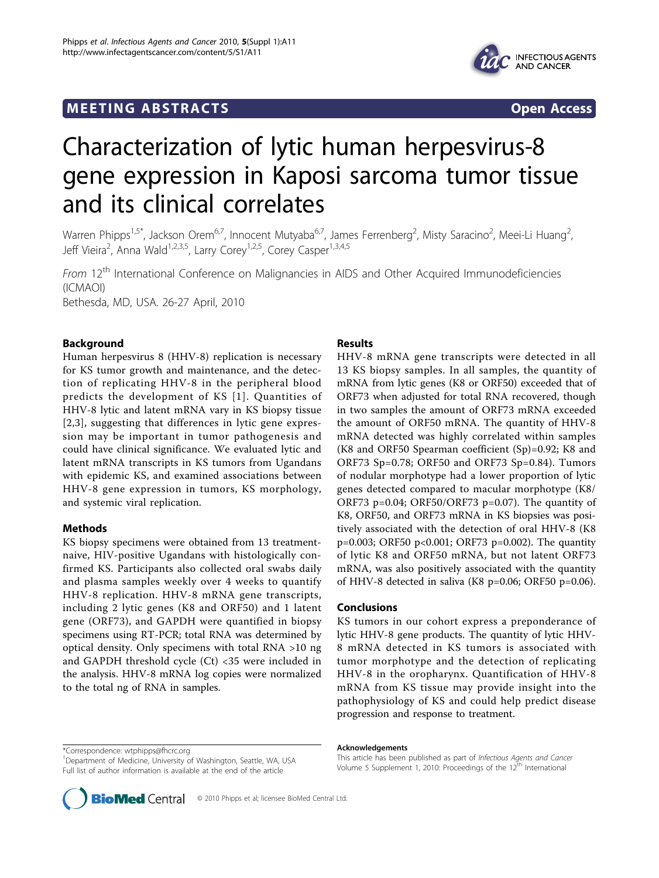## **MEETING ABSTRACTS** And the state of the state of the state of the state of the state of the state of the state of the state of the state of the state of the state of the state of the state of the state of the state of the



# Characterization of lytic human herpesvirus-8 gene expression in Kaposi sarcoma tumor tissue and its clinical correlates

Warren Phipps<sup>1,5\*</sup>, Jackson Orem<sup>6,7</sup>, Innocent Mutyaba<sup>6,7</sup>, James Ferrenberg<sup>2</sup>, Misty Saracino<sup>2</sup>, Meei-Li Huang<sup>2</sup> .<br>, Jeff Vieira<sup>2</sup>, Anna Wald<sup>1,2,3,5</sup>, Larry Corey<sup>1,2,5</sup>, Corey Casper<sup>1,3,4,5</sup>

From 12<sup>th</sup> International Conference on Malignancies in AIDS and Other Acquired Immunodeficiencies (ICMAOI) Bethesda, MD, USA. 26-27 April, 2010

Background

Human herpesvirus 8 (HHV-8) replication is necessary for KS tumor growth and maintenance, and the detection of replicating HHV-8 in the peripheral blood predicts the development of KS [1]. Quantities of HHV-8 lytic and latent mRNA vary in KS biopsy tissue [2,3], suggesting that differences in lytic gene expression may be important in tumor pathogenesis and could have clinical significance. We evaluated lytic and latent mRNA transcripts in KS tumors from Ugandans with epidemic KS, and examined associations between HHV-8 gene expression in tumors, KS morphology, and systemic viral replication.

#### Methods

KS biopsy specimens were obtained from 13 treatmentnaive, HIV-positive Ugandans with histologically confirmed KS. Participants also collected oral swabs daily and plasma samples weekly over 4 weeks to quantify HHV-8 replication. HHV-8 mRNA gene transcripts, including 2 lytic genes (K8 and ORF50) and 1 latent gene (ORF73), and GAPDH were quantified in biopsy specimens using RT-PCR; total RNA was determined by optical density. Only specimens with total RNA >10 ng and GAPDH threshold cycle (Ct) <35 were included in the analysis. HHV-8 mRNA log copies were normalized to the total ng of RNA in samples.

### Results

HHV-8 mRNA gene transcripts were detected in all 13 KS biopsy samples. In all samples, the quantity of mRNA from lytic genes (K8 or ORF50) exceeded that of ORF73 when adjusted for total RNA recovered, though in two samples the amount of ORF73 mRNA exceeded the amount of ORF50 mRNA. The quantity of HHV-8 mRNA detected was highly correlated within samples (K8 and ORF50 Spearman coefficient (Sp)=0.92; K8 and ORF73 Sp=0.78; ORF50 and ORF73 Sp=0.84). Tumors of nodular morphotype had a lower proportion of lytic genes detected compared to macular morphotype (K8/ ORF73 p=0.04; ORF50/ORF73 p=0.07). The quantity of K8, ORF50, and ORF73 mRNA in KS biopsies was positively associated with the detection of oral HHV-8 (K8 p=0.003; ORF50 p<0.001; ORF73 p=0.002). The quantity of lytic K8 and ORF50 mRNA, but not latent ORF73 mRNA, was also positively associated with the quantity of HHV-8 detected in saliva (K8 p=0.06; ORF50 p=0.06).

#### Conclusions

KS tumors in our cohort express a preponderance of lytic HHV-8 gene products. The quantity of lytic HHV-8 mRNA detected in KS tumors is associated with tumor morphotype and the detection of replicating HHV-8 in the oropharynx. Quantification of HHV-8 mRNA from KS tissue may provide insight into the pathophysiology of KS and could help predict disease progression and response to treatment.

<sup>&</sup>lt;sup>1</sup>Department of Medicine, University of Washington, Seattle, WA, USA Full list of author information is available at the end of the article



This article has been published as part of Infectious Agents and Cancer Volume 5 Supplement 1, 2010: Proceedings of the 12<sup>th</sup> International

**BioMed** Central © 2010 Phipps et al; licensee BioMed Central Ltd.

<sup>\*</sup>Correspondence: [wtphipps@fhcrc.org](mailto:wtphipps@fhcrc.org)